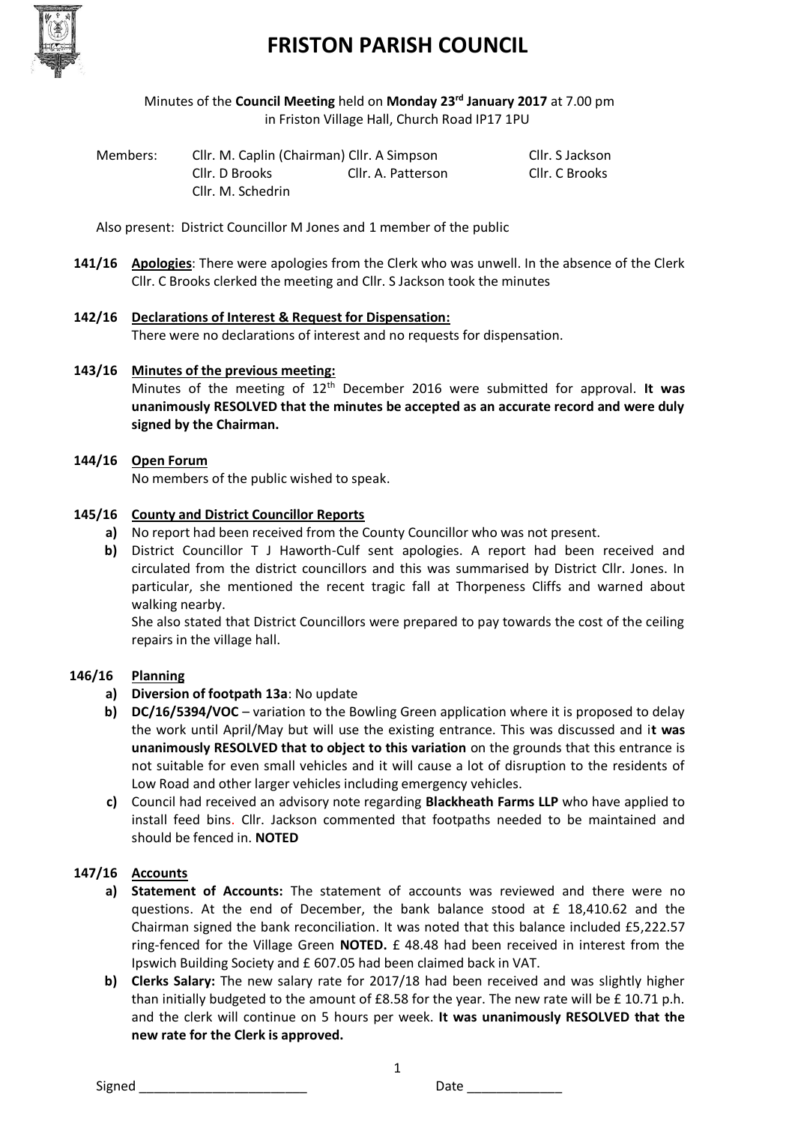

# **FRISTON PARISH COUNCIL**

Minutes of the **Council Meeting** held on **Monday 23 rd January 2017** at 7.00 pm in Friston Village Hall, Church Road IP17 1PU

| Members: | Cllr. M. Caplin (Chairman) Cllr. A Simpson |                    | Cllr. S Jackson |
|----------|--------------------------------------------|--------------------|-----------------|
|          | Cllr. D Brooks                             | Cllr. A. Patterson | Cllr. C Brooks  |
|          | Cllr. M. Schedrin                          |                    |                 |

Also present: District Councillor M Jones and 1 member of the public

- **141/16 Apologies**: There were apologies from the Clerk who was unwell. In the absence of the Clerk Cllr. C Brooks clerked the meeting and Cllr. S Jackson took the minutes
- **142/16 Declarations of Interest & Request for Dispensation:** There were no declarations of interest and no requests for dispensation.

#### **143/16 Minutes of the previous meeting:**

Minutes of the meeting of 12th December 2016 were submitted for approval. **It was unanimously RESOLVED that the minutes be accepted as an accurate record and were duly signed by the Chairman.**

#### **144/16 Open Forum**

No members of the public wished to speak.

#### **145/16 County and District Councillor Reports**

- **a)** No report had been received from the County Councillor who was not present.
- **b)** District Councillor T J Haworth-Culf sent apologies. A report had been received and circulated from the district councillors and this was summarised by District Cllr. Jones. In particular, she mentioned the recent tragic fall at Thorpeness Cliffs and warned about walking nearby.

She also stated that District Councillors were prepared to pay towards the cost of the ceiling repairs in the village hall.

#### **146/16 Planning**

- **a) Diversion of footpath 13a**: No update
- **b) DC/16/5394/VOC** variation to the Bowling Green application where it is proposed to delay the work until April/May but will use the existing entrance. This was discussed and i**t was unanimously RESOLVED that to object to this variation** on the grounds that this entrance is not suitable for even small vehicles and it will cause a lot of disruption to the residents of Low Road and other larger vehicles including emergency vehicles.
- **c)** Council had received an advisory note regarding **Blackheath Farms LLP** who have applied to install feed bins. Cllr. Jackson commented that footpaths needed to be maintained and should be fenced in. **NOTED**

#### **147/16 Accounts**

- **a) Statement of Accounts:** The statement of accounts was reviewed and there were no questions. At the end of December, the bank balance stood at £ 18,410.62 and the Chairman signed the bank reconciliation. It was noted that this balance included £5,222.57 ring-fenced for the Village Green **NOTED.** £ 48.48 had been received in interest from the Ipswich Building Society and £ 607.05 had been claimed back in VAT.
- **b) Clerks Salary:** The new salary rate for 2017/18 had been received and was slightly higher than initially budgeted to the amount of £8.58 for the year. The new rate will be £ 10.71 p.h. and the clerk will continue on 5 hours per week. **It was unanimously RESOLVED that the new rate for the Clerk is approved.**

1

Signed \_\_\_\_\_\_\_\_\_\_\_\_\_\_\_\_\_\_\_\_\_\_\_ Date \_\_\_\_\_\_\_\_\_\_\_\_\_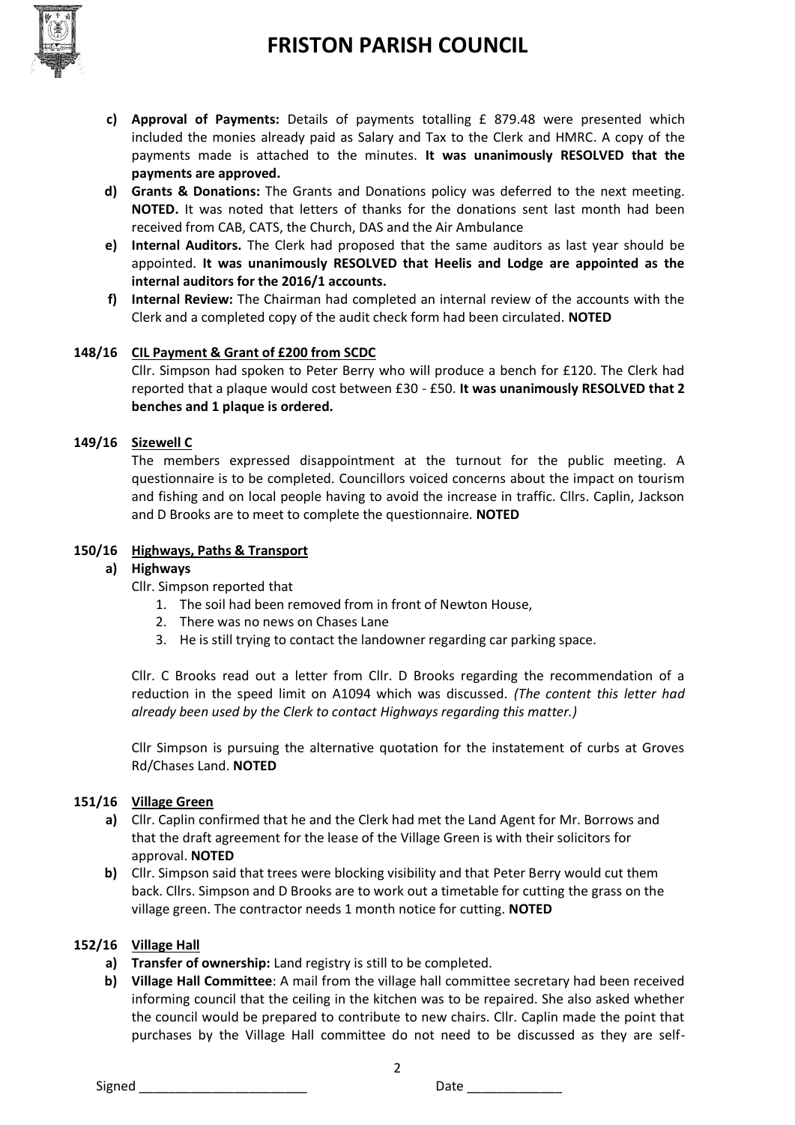# **FRISTON PARISH COUNCIL**



- **c) Approval of Payments:** Details of payments totalling £ 879.48 were presented which included the monies already paid as Salary and Tax to the Clerk and HMRC. A copy of the payments made is attached to the minutes. **It was unanimously RESOLVED that the payments are approved.**
- **d) Grants & Donations:** The Grants and Donations policy was deferred to the next meeting. **NOTED.** It was noted that letters of thanks for the donations sent last month had been received from CAB, CATS, the Church, DAS and the Air Ambulance
- **e) Internal Auditors.** The Clerk had proposed that the same auditors as last year should be appointed. **It was unanimously RESOLVED that Heelis and Lodge are appointed as the internal auditors for the 2016/1 accounts.**
- **f) Internal Review:** The Chairman had completed an internal review of the accounts with the Clerk and a completed copy of the audit check form had been circulated. **NOTED**

### **148/16 CIL Payment & Grant of £200 from SCDC**

Cllr. Simpson had spoken to Peter Berry who will produce a bench for £120. The Clerk had reported that a plaque would cost between £30 - £50. **It was unanimously RESOLVED that 2 benches and 1 plaque is ordered.** 

#### **149/16 Sizewell C**

The members expressed disappointment at the turnout for the public meeting. A questionnaire is to be completed. Councillors voiced concerns about the impact on tourism and fishing and on local people having to avoid the increase in traffic. Cllrs. Caplin, Jackson and D Brooks are to meet to complete the questionnaire. **NOTED**

#### **150/16 Highways, Paths & Transport**

#### **a) Highways**

Cllr. Simpson reported that

- 1. The soil had been removed from in front of Newton House,
- 2. There was no news on Chases Lane
- 3. He is still trying to contact the landowner regarding car parking space.

Cllr. C Brooks read out a letter from Cllr. D Brooks regarding the recommendation of a reduction in the speed limit on A1094 which was discussed. *(The content this letter had already been used by the Clerk to contact Highways regarding this matter.)* 

Cllr Simpson is pursuing the alternative quotation for the instatement of curbs at Groves Rd/Chases Land. **NOTED**

#### **151/16 Village Green**

- **a)** Cllr. Caplin confirmed that he and the Clerk had met the Land Agent for Mr. Borrows and that the draft agreement for the lease of the Village Green is with their solicitors for approval. **NOTED**
- **b)** Cllr. Simpson said that trees were blocking visibility and that Peter Berry would cut them back. Cllrs. Simpson and D Brooks are to work out a timetable for cutting the grass on the village green. The contractor needs 1 month notice for cutting. **NOTED**

#### **152/16 Village Hall**

- **a) Transfer of ownership:** Land registry is still to be completed.
- **b) Village Hall Committee**: A mail from the village hall committee secretary had been received informing council that the ceiling in the kitchen was to be repaired. She also asked whether the council would be prepared to contribute to new chairs. Cllr. Caplin made the point that purchases by the Village Hall committee do not need to be discussed as they are self-

2

Signed **Example 2** Date **Date Date**